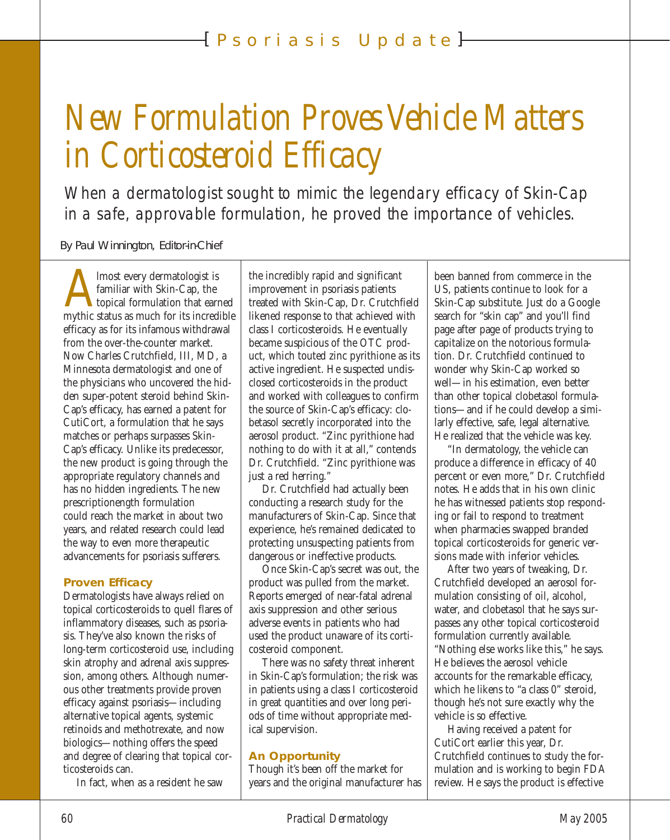# *New Formulation Proves Vehicle Matters in Corticosteroid Efficacy*

When a dermatologist sought to mimic the legendary efficacy of Skin-Cap in a safe, approvable formulation, he proved the importance of vehicles.

By Paul Winnington, Editor-in-Chief

Almost every dermatologist is<br>familiar with Skin-Cap, the<br>mythic status as much for its incredible familiar with Skin-Cap, the topical formulation that earned efficacy as for its infamous withdrawal from the over-the-counter market. Now Charles Crutchfield, III, MD, a Minnesota dermatologist and one of the physicians who uncovered the hidden super-potent steroid behind Skin-Cap's efficacy, has earned a patent for CutiCort, a formulation that he says matches or perhaps surpasses Skin-Cap's efficacy. Unlike its predecessor, the new product is going through the appropriate regulatory channels and has no hidden ingredients. The new prescriptionength formulation could reach the market in about two years, and related research could lead the way to even more therapeutic advancements for psoriasis sufferers.

#### **Proven Efficacy**

Dermatologists have always relied on topical corticosteroids to quell flares of inflammatory diseases, such as psoriasis. They've also known the risks of long-term corticosteroid use, including skin atrophy and adrenal axis suppression, among others. Although numerous other treatments provide proven efficacy against psoriasis—including alternative topical agents, systemic retinoids and methotrexate, and now biologics—nothing offers the speed and degree of clearing that topical corticosteroids can.

In fact, when as a resident he saw

the incredibly rapid and significant improvement in psoriasis patients treated with Skin-Cap, Dr. Crutchfield likened response to that achieved with class I corticosteroids. He eventually became suspicious of the OTC product, which touted zinc pyrithione as its active ingredient. He suspected undisclosed corticosteroids in the product and worked with colleagues to confirm the source of Skin-Cap's efficacy: clobetasol secretly incorporated into the aerosol product. "Zinc pyrithione had nothing to do with it at all," contends Dr. Crutchfield. "Zinc pyrithione was just a red herring."

Dr. Crutchfield had actually been conducting a research study for the manufacturers of Skin-Cap. Since that experience, he's remained dedicated to protecting unsuspecting patients from dangerous or ineffective products.

Once Skin-Cap's secret was out, the product was pulled from the market. Reports emerged of near-fatal adrenal axis suppression and other serious adverse events in patients who had used the product unaware of its corticosteroid component.

There was no safety threat inherent in Skin-Cap's formulation; the risk was in patients using a class I corticosteroid in great quantities and over long periods of time without appropriate medical supervision.

#### **An Opportunity**

Though it's been off the market for years and the original manufacturer has been banned from commerce in the US, patients continue to look for a Skin-Cap substitute. Just do a Google search for "skin cap" and you'll find page after page of products trying to capitalize on the notorious formulation. Dr. Crutchfield continued to wonder why Skin-Cap worked so well—in his estimation, even better than other topical clobetasol formulations—and if he could develop a similarly effective, safe, legal alternative. He realized that the vehicle was key.

"In dermatology, the vehicle can produce a difference in efficacy of 40 percent or even more," Dr. Crutchfield notes. He adds that in his own clinic he has witnessed patients stop responding or fail to respond to treatment when pharmacies swapped branded topical corticosteroids for generic versions made with inferior vehicles.

After two years of tweaking, Dr. Crutchfield developed an aerosol formulation consisting of oil, alcohol, water, and clobetasol that he says surpasses any other topical corticosteroid formulation currently available. "Nothing else works like this," he says. He believes the aerosol vehicle accounts for the remarkable efficacy, which he likens to "a class 0" steroid, though he's not sure exactly why the vehicle is so effective.

Having received a patent for CutiCort earlier this year, Dr. Crutchfield continues to study the formulation and is working to begin FDA review. He says the product is effective